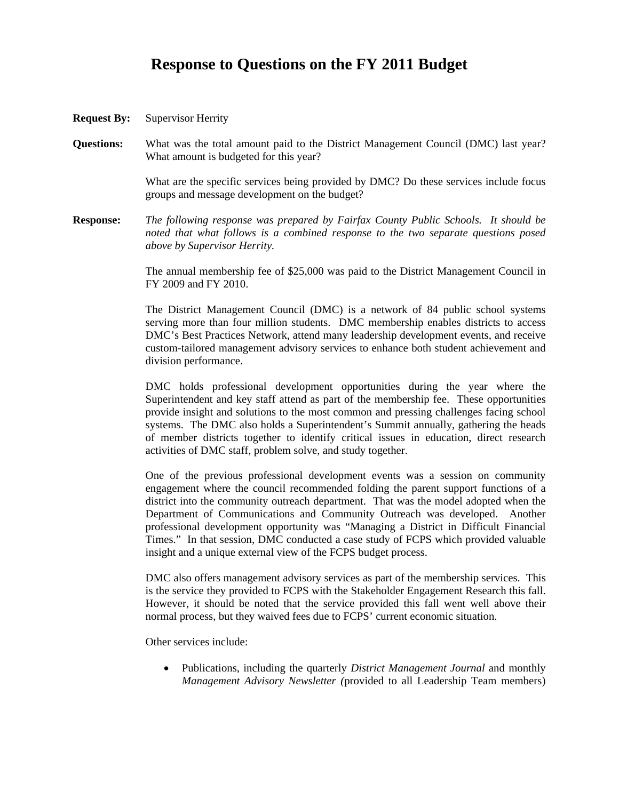## **Response to Questions on the FY 2011 Budget**

- **Request By:** Supervisor Herrity
- **Questions:** What was the total amount paid to the District Management Council (DMC) last year? What amount is budgeted for this year?

What are the specific services being provided by DMC? Do these services include focus groups and message development on the budget?

**Response:** *The following response was prepared by Fairfax County Public Schools. It should be noted that what follows is a combined response to the two separate questions posed above by Supervisor Herrity.* 

> The annual membership fee of \$25,000 was paid to the District Management Council in FY 2009 and FY 2010.

> The District Management Council (DMC) is a network of 84 public school systems serving more than four million students. DMC membership enables districts to access DMC's Best Practices Network, attend many leadership development events, and receive custom-tailored management advisory services to enhance both student achievement and division performance.

> DMC holds professional development opportunities during the year where the Superintendent and key staff attend as part of the membership fee. These opportunities provide insight and solutions to the most common and pressing challenges facing school systems. The DMC also holds a Superintendent's Summit annually, gathering the heads of member districts together to identify critical issues in education, direct research activities of DMC staff, problem solve, and study together.

> One of the previous professional development events was a session on community engagement where the council recommended folding the parent support functions of a district into the community outreach department. That was the model adopted when the Department of Communications and Community Outreach was developed. Another professional development opportunity was "Managing a District in Difficult Financial Times." In that session, DMC conducted a case study of FCPS which provided valuable insight and a unique external view of the FCPS budget process.

> DMC also offers management advisory services as part of the membership services. This is the service they provided to FCPS with the Stakeholder Engagement Research this fall. However, it should be noted that the service provided this fall went well above their normal process, but they waived fees due to FCPS' current economic situation.

Other services include:

• Publications, including the quarterly *District Management Journal* and monthly *Management Advisory Newsletter (*provided to all Leadership Team members)